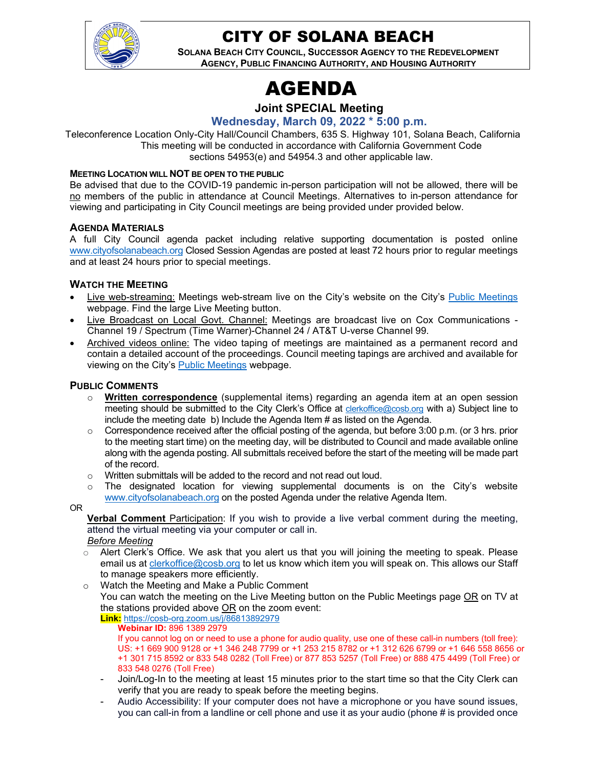

## CITY OF SOLANA BEACH

**SOLANA BEACH CITY COUNCIL, SUCCESSOR AGENCY TO THE REDEVELOPMENT AGENCY, PUBLIC FINANCING AUTHORITY, AND HOUSING AUTHORITY** 

## AGENDA

## **Joint SPECIAL Meeting**

**Wednesday, March 09, 2022 \* 5:00 p.m.** 

Teleconference Location Only-City Hall/Council Chambers, 635 S. Highway 101, Solana Beach, California This meeting will be conducted in accordance with California Government Code sections 54953(e) and 54954.3 and other applicable law.

#### **MEETING LOCATION WILL NOT BE OPEN TO THE PUBLIC**

Be advised that due to the COVID-19 pandemic in-person participation will not be allowed, there will be no members of the public in attendance at Council Meetings. Alternatives to in-person attendance for viewing and participating in City Council meetings are being provided under provided below.

#### **AGENDA MATERIALS**

A full City Council agenda packet including relative supporting documentation is posted online [www.cityofsolanabeach.org](http://www.cityofsolanabeach.org/) Closed Session Agendas are posted at least 72 hours prior to regular meetings and at least 24 hours prior to special meetings.

#### **WATCH THE MEETING**

- Live web-streaming: Meetings web-stream live on the City's website on the City's [Public Meetings](https://urldefense.proofpoint.com/v2/url?u=https-3A__www.ci.solana-2Dbeach.ca.us_index.asp-3FSEC-3DF0F1200D-2D21C6-2D4A88-2D8AE1-2D0BC07C1A81A7-26Type-3DB-5FBASIC&d=DwMFAg&c=euGZstcaTDllvimEN8b7jXrwqOf-v5A_CdpgnVfiiMM&r=1XAsCUuqwK_tji2t0s1uIQ&m=wny2RVfZJ2tN24LkqZmkUWNpwL_peNtTZUBlTBZiMM4&s=WwpcEQpHHkFen6nS6q2waMuQ_VMZ-i1YZ60lD-dYRRE&e=) webpage. Find the large Live Meeting button.
- Live Broadcast on Local Govt. Channel: Meetings are broadcast live on Cox Communications Channel 19 / Spectrum (Time Warner)-Channel 24 / AT&T U-verse Channel 99.
- Archived videos online: The video taping of meetings are maintained as a permanent record and contain a detailed account of the proceedings. Council meeting tapings are archived and available for viewing on the City's **Public Meetings** webpage.

#### **PUBLIC COMMENTS**

- o **Written correspondence** (supplemental items) regarding an agenda item at an open session meeting should be submitted to the City Clerk's Office at [clerkoffice@cosb.org](mailto:clerkoffice@cosb.org) with a) Subject line to include the meeting date b) Include the Agenda Item # as listed on the Agenda.
- $\circ$  Correspondence received after the official posting of the agenda, but before 3:00 p.m. (or 3 hrs. prior to the meeting start time) on the meeting day, will be distributed to Council and made available online along with the agenda posting. All submittals received before the start of the meeting will be made part of the record.
- o Written submittals will be added to the record and not read out loud.
- $\circ$  The designated location for viewing supplemental documents is on the City's website [www.cityofsolanabeach.org](http://www.cityofsolanabeach.org/) on the posted Agenda under the relative Agenda Item.

#### OR

**Verbal Comment** Participation: If you wish to provide a live verbal comment during the meeting, attend the virtual meeting via your computer or call in.

- *Before Meeting*
- $\circ$  Alert Clerk's Office. We ask that you alert us that you will joining the meeting to speak. Please email us at [clerkoffice@cosb.org](mailto:clerkoffice@cosb.org) to let us know which item you will speak on. This allows our Staff to manage speakers more efficiently.
- o Watch the Meeting and Make a Public Comment You can watch the meeting on the Live Meeting button on the Public Meetings page <u>OR</u> on TV at the stations provided above OR on the zoom event: Watch the Meeting and Make a Public Correct You can watch the meeting on the Live N<br>the stations provided above OR on the z<br>the stations provided above OR on the z<br>**Link:** https://cosb-org.zoom.us/j/8681389297<br>**Webinar ID**

#### **Link:** https://cosb-org.zoom.us/j/86813892979 **Webinar ID:** 896 1389 2979

If you cannot log on or need to use a phone for audio quality, use one of these call-in numbers (toll free): US: +1 669 900 9128 or +1 346 248 7799 or +1 253 215 8782 or +1 312 626 6799 or +1 646 558 8656 or +1 301 715 8592 or 833 548 0282 (Toll Free) or 877 853 5257 (Toll Free) or 888 475 4499 (Toll Free) or 833 548 0276 (Toll Free)

- Join/Log-In to the meeting at least 15 minutes prior to the start time so that the City Clerk can verify that you are ready to speak before the meeting begins.
- Audio Accessibility: If your computer does not have a microphone or you have sound issues, you can call-in from a landline or cell phone and use it as your audio (phone # is provided once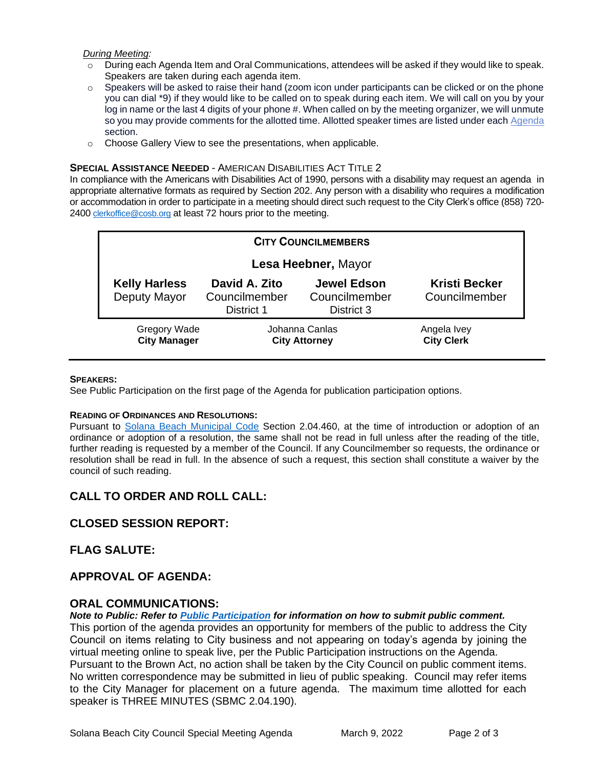#### *During Meeting:*

- $\circ$  During each Agenda Item and Oral Communications, attendees will be asked if they would like to speak. Speakers are taken during each agenda item.
- $\circ$  Speakers will be asked to raise their hand (zoom icon under participants can be clicked or on the phone you can dial \*9) if they would like to be called on to speak during each item. We will call on you by your log in name or the last 4 digits of your phone #. When called on by the meeting organizer, we will unmute so you may provide comments for the allotted time. Allotted speaker times are listed under each Agenda section.
- o Choose Gallery View to see the presentations, when applicable.

#### **SPECIAL ASSISTANCE NEEDED** - AMERICAN DISABILITIES ACT TITLE 2

In compliance with the Americans with Disabilities Act of 1990, persons with a disability may request an agenda in appropriate alternative formats as required by Section 202. Any person with a disability who requires a modification or accommodation in order to participate in a meeting should direct such request to the City Clerk's office (858) 720- 2400 clerkoffice@cosb.org at least 72 hours prior to the meeting.

| <b>CITY COUNCILMEMBERS</b>                 |                                                     |                                                   |                                       |
|--------------------------------------------|-----------------------------------------------------|---------------------------------------------------|---------------------------------------|
| Lesa Heebner, Mayor                        |                                                     |                                                   |                                       |
| <b>Kelly Harless</b><br>Deputy Mayor       | David A. Zito<br>Councilmember<br><b>District 1</b> | <b>Jewel Edson</b><br>Councilmember<br>District 3 | <b>Kristi Becker</b><br>Councilmember |
| <b>Gregory Wade</b><br><b>City Manager</b> | Johanna Canlas<br><b>City Attorney</b>              |                                                   | Angela Ivey<br><b>City Clerk</b>      |

#### **SPEAKERS:**

See Public Participation on the first page of the Agenda for publication participation options.

#### **READING OF ORDINANCES AND RESOLUTIONS:**

Pursuant to Solana Beach Municipal Code Section 2.04.460, at the time of introduction or adoption of an ordinance or adoption of a resolution, the same shall not be read in full unless after the reading of the title, further reading is requested by a member of the Council. If any Councilmember so requests, the ordinance or resolution shall be read in full. In the absence of such a request, this section shall constitute a waiver by the council of such reading.

#### **CALL TO ORDER AND ROLL CALL:**

#### **CLOSED SESSION REPORT:**

#### **FLAG SALUTE:**

#### **APPROVAL OF AGENDA:**

#### **ORAL COMMUNICATIONS:**

#### *Note to Public: Refer to Public Participation for information on how to submit public comment.*

This portion of the agenda provides an opportunity for members of the public to address the City Council on items relating to City business and not appearing on today's agenda by joining the virtual meeting online to speak live, per the Public Participation instructions on the Agenda. Pursuant to the Brown Act, no action shall be taken by the City Council on public comment items. No written correspondence may be submitted in lieu of public speaking. Council may refer items to the City Manager for placement on a future agenda. The maximum time allotted for each speaker is THREE MINUTES (SBMC 2.04.190).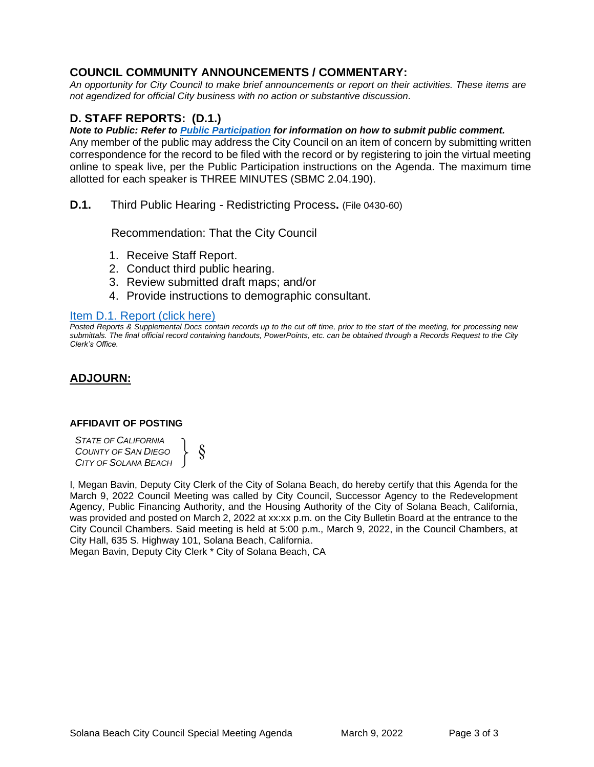## **COUNCIL COMMUNITY ANNOUNCEMENTS / COMMENTARY:**

*An opportunity for City Council to make brief announcements or report on their activities. These items are not agendized for official City business with no action or substantive discussion.* 

## **D. STAFF REPORTS: (D.1.)**

*Note to Public: Refer to Public Participation for information on how to submit public comment.* 

Any member of the public may address the City Council on an item of concern by submitting written correspondence for the record to be filed with the record or by registering to join the virtual meeting online to speak live, per the Public Participation instructions on the Agenda. The maximum time allotted for each speaker is THREE MINUTES (SBMC 2.04.190).

**D.1.** Third Public Hearing - Redistricting Process**.** (File 0430-60)

Recommendation: That the City Council

- 1. Receive Staff Report.
- 2. Conduct third public hearing.
- 3. Review submitted draft maps; and/or
- 4. Provide instructions to demographic consultant.

#### Item D.1. Report (click here)

*[Posted Reports & Supplemental Docs contain records up to the cut off time, prior to the start of the meeting, for processing new](#page-3-0)  submittals. The final official record containing handouts, PowerPoints, etc. can be obtained through a Records Request to the City Clerk's Office.*

### **ADJOURN:**

#### **AFFIDAVIT OF POSTING**

*STATE OF CALIFORNIA COUNTY OF SAN DIEGO CITY OF SOLANA BEACH* § }

I, Megan Bavin, Deputy City Clerk of the City of Solana Beach, do hereby certify that this Agenda for the March 9, 2022 Council Meeting was called by City Council, Successor Agency to the Redevelopment Agency, Public Financing Authority, and the Housing Authority of the City of Solana Beach, California, was provided and posted on March 2, 2022 at xx:xx p.m. on the City Bulletin Board at the entrance to the City Council Chambers. Said meeting is held at 5:00 p.m., March 9, 2022, in the Council Chambers, at City Hall, 635 S. Highway 101, Solana Beach, California.

Megan Bavin, Deputy City Clerk \* City of Solana Beach, CA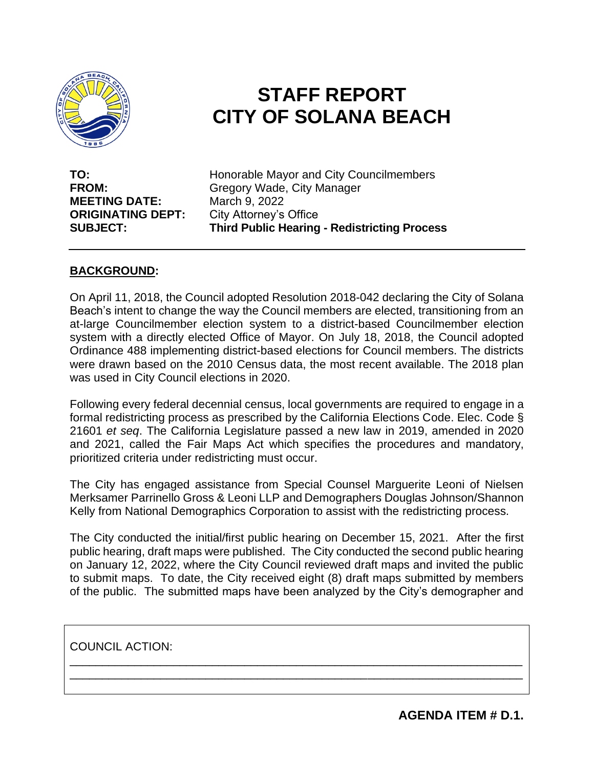<span id="page-3-0"></span>

# **STAFF REPORT CITY OF SOLANA BEACH**

**MEETING DATE:** March 9, 2022 **ORIGINATING DEPT:** City Attorney's Office

**TO:** Honorable Mayor and City Councilmembers **FROM:** Gregory Wade, City Manager **SUBJECT: Third Public Hearing - Redistricting Process** 

## **BACKGROUND:**

On April 11, 2018, the Council adopted Resolution 2018-042 declaring the City of Solana Beach's intent to change the way the Council members are elected, transitioning from an at-large Councilmember election system to a district-based Councilmember election system with a directly elected Office of Mayor. On July 18, 2018, the Council adopted Ordinance 488 implementing district-based elections for Council members. The districts were drawn based on the 2010 Census data, the most recent available. The 2018 plan was used in City Council elections in 2020.

Following every federal decennial census, local governments are required to engage in a formal redistricting process as prescribed by the California Elections Code. Elec. Code § 21601 *et seq*. The California Legislature passed a new law in 2019, amended in 2020 and 2021, called the Fair Maps Act which specifies the procedures and mandatory, prioritized criteria under redistricting must occur.

The City has engaged assistance from Special Counsel Marguerite Leoni of Nielsen Merksamer Parrinello Gross & Leoni LLP and Demographers Douglas Johnson/Shannon Kelly from National Demographics Corporation to assist with the redistricting process.

The City conducted the initial/first public hearing on December 15, 2021. After the first public hearing, draft maps were published. The City conducted the second public hearing on January 12, 2022, where the City Council reviewed draft maps and invited the public to submit maps. To date, the City received eight (8) draft maps submitted by members of the public. The submitted maps have been analyzed by the City's demographer and

\_\_\_\_\_\_\_\_\_\_\_\_\_\_\_\_\_\_\_\_\_\_\_\_\_\_\_\_\_\_\_\_\_\_\_\_\_\_\_\_\_\_\_\_\_\_\_\_\_\_\_\_\_\_\_\_\_\_\_\_\_\_\_\_\_\_\_\_\_\_ \_\_\_\_\_\_\_\_\_\_\_\_\_\_\_\_\_\_\_\_\_\_\_\_\_\_\_\_\_\_\_\_\_\_\_\_\_\_\_\_\_\_\_\_\_\_\_\_\_\_\_\_\_\_\_\_\_\_\_\_\_\_\_\_\_\_\_\_\_\_

COUNCIL ACTION:

**AGENDA ITEM # D.1.**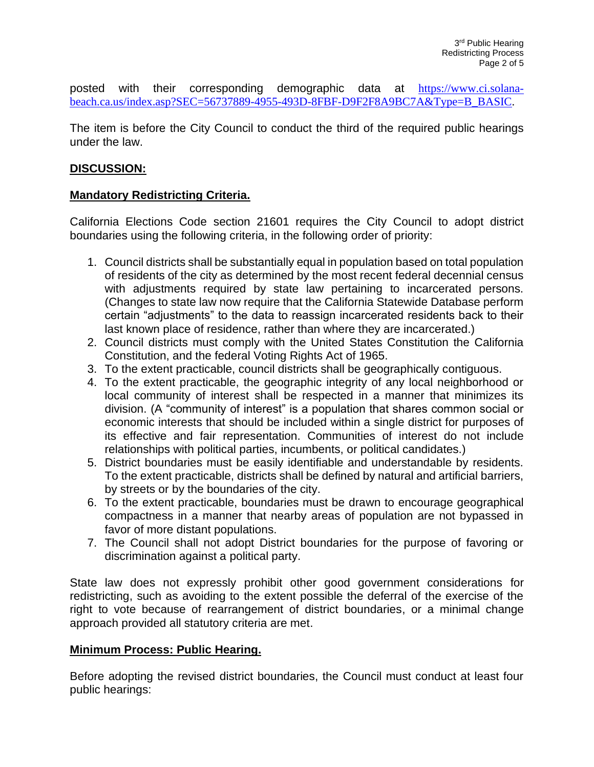posted with their corresponding demographic data at [https://www.ci.solana](https://www.ci.solana-beach.ca.us/index.asp?SEC=56737889-4955-493D-8FBF-D9F2F8A9BC7A&Type=B_BASIC)[beach.ca.us/index.asp?SEC=56737889-4955-493D-8FBF-D9F2F8A9BC7A&Type=B\\_BASIC.](https://www.ci.solana-beach.ca.us/index.asp?SEC=56737889-4955-493D-8FBF-D9F2F8A9BC7A&Type=B_BASIC)

The item is before the City Council to conduct the third of the required public hearings under the law.

### **DISCUSSION:**

### **Mandatory Redistricting Criteria.**

California Elections Code section 21601 requires the City Council to adopt district boundaries using the following criteria, in the following order of priority:

- 1. Council districts shall be substantially equal in population based on total population of residents of the city as determined by the most recent federal decennial census with adjustments required by state law pertaining to incarcerated persons. (Changes to state law now require that the California Statewide Database perform certain "adjustments" to the data to reassign incarcerated residents back to their last known place of residence, rather than where they are incarcerated.)
- 2. Council districts must comply with the United States Constitution the California Constitution, and the federal Voting Rights Act of 1965.
- 3. To the extent practicable, council districts shall be geographically contiguous.
- 4. To the extent practicable, the geographic integrity of any local neighborhood or local community of interest shall be respected in a manner that minimizes its division. (A "community of interest" is a population that shares common social or economic interests that should be included within a single district for purposes of its effective and fair representation. Communities of interest do not include relationships with political parties, incumbents, or political candidates.)
- 5. District boundaries must be easily identifiable and understandable by residents. To the extent practicable, districts shall be defined by natural and artificial barriers, by streets or by the boundaries of the city.
- 6. To the extent practicable, boundaries must be drawn to encourage geographical compactness in a manner that nearby areas of population are not bypassed in favor of more distant populations.
- 7. The Council shall not adopt District boundaries for the purpose of favoring or discrimination against a political party.

State law does not expressly prohibit other good government considerations for redistricting, such as avoiding to the extent possible the deferral of the exercise of the right to vote because of rearrangement of district boundaries, or a minimal change approach provided all statutory criteria are met.

#### **Minimum Process: Public Hearing.**

Before adopting the revised district boundaries, the Council must conduct at least four public hearings: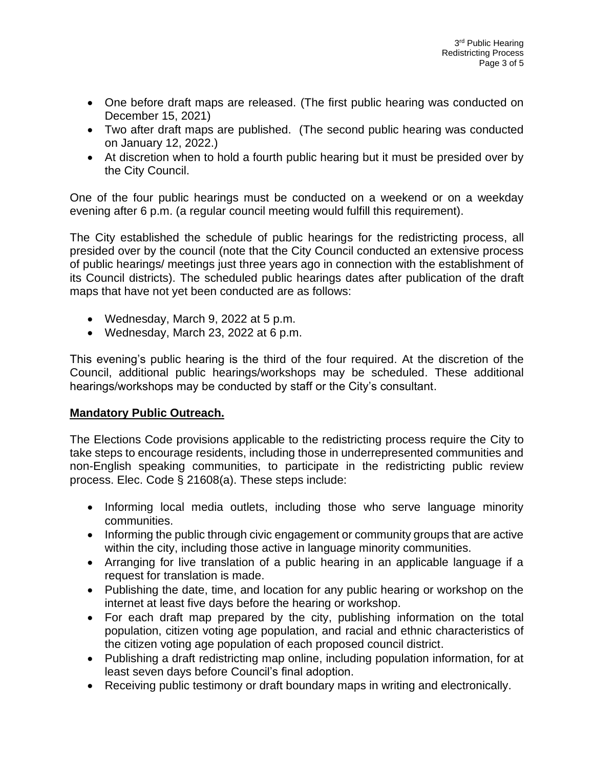- One before draft maps are released. (The first public hearing was conducted on December 15, 2021)
- Two after draft maps are published. (The second public hearing was conducted on January 12, 2022.)
- At discretion when to hold a fourth public hearing but it must be presided over by the City Council.

One of the four public hearings must be conducted on a weekend or on a weekday evening after 6 p.m. (a regular council meeting would fulfill this requirement).

The City established the schedule of public hearings for the redistricting process, all presided over by the council (note that the City Council conducted an extensive process of public hearings/ meetings just three years ago in connection with the establishment of its Council districts). The scheduled public hearings dates after publication of the draft maps that have not yet been conducted are as follows:

- Wednesday, March 9, 2022 at 5 p.m.
- Wednesday, March 23, 2022 at 6 p.m.

This evening's public hearing is the third of the four required. At the discretion of the Council, additional public hearings/workshops may be scheduled. These additional hearings/workshops may be conducted by staff or the City's consultant.

## **Mandatory Public Outreach.**

The Elections Code provisions applicable to the redistricting process require the City to take steps to encourage residents, including those in underrepresented communities and non-English speaking communities, to participate in the redistricting public review process. Elec. Code § 21608(a). These steps include:

- Informing local media outlets, including those who serve language minority communities.
- Informing the public through civic engagement or community groups that are active within the city, including those active in language minority communities.
- Arranging for live translation of a public hearing in an applicable language if a request for translation is made.
- Publishing the date, time, and location for any public hearing or workshop on the internet at least five days before the hearing or workshop.
- For each draft map prepared by the city, publishing information on the total population, citizen voting age population, and racial and ethnic characteristics of the citizen voting age population of each proposed council district.
- Publishing a draft redistricting map online, including population information, for at least seven days before Council's final adoption.
- Receiving public testimony or draft boundary maps in writing and electronically.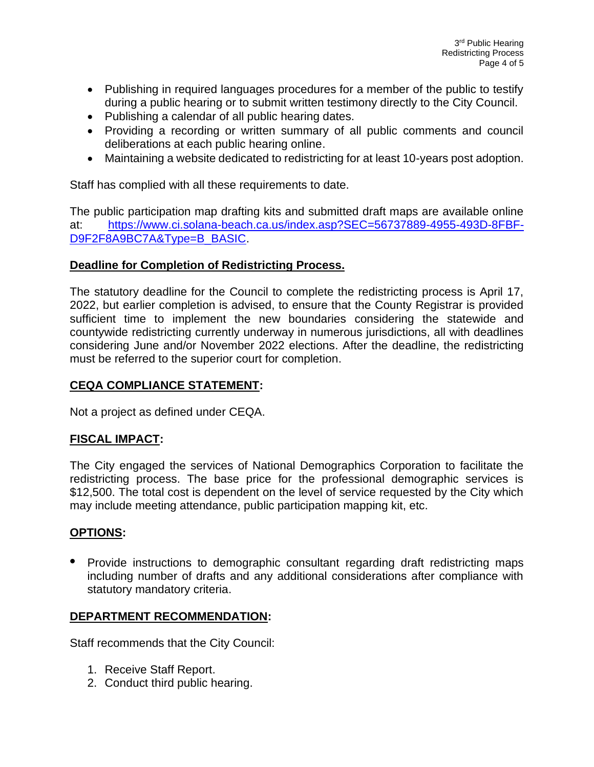- Publishing in required languages procedures for a member of the public to testify during a public hearing or to submit written testimony directly to the City Council.
- Publishing a calendar of all public hearing dates.
- Providing a recording or written summary of all public comments and council deliberations at each public hearing online.
- Maintaining a website dedicated to redistricting for at least 10-years post adoption.

Staff has complied with all these requirements to date.

The public participation map drafting kits and submitted draft maps are available online at: [https://www.ci.solana-beach.ca.us/index.asp?SEC=56737889-4955-493D-8FBF-](https://www.ci.solana-beach.ca.us/index.asp?SEC=56737889-4955-493D-8FBF-D9F2F8A9BC7A&Type=B_BASIC)[D9F2F8A9BC7A&Type=B\\_BASIC.](https://www.ci.solana-beach.ca.us/index.asp?SEC=56737889-4955-493D-8FBF-D9F2F8A9BC7A&Type=B_BASIC)

## **Deadline for Completion of Redistricting Process.**

The statutory deadline for the Council to complete the redistricting process is April 17, 2022, but earlier completion is advised, to ensure that the County Registrar is provided sufficient time to implement the new boundaries considering the statewide and countywide redistricting currently underway in numerous jurisdictions, all with deadlines considering June and/or November 2022 elections. After the deadline, the redistricting must be referred to the superior court for completion.

## **CEQA COMPLIANCE STATEMENT:**

Not a project as defined under CEQA.

## **FISCAL IMPACT:**

The City engaged the services of National Demographics Corporation to facilitate the redistricting process. The base price for the professional demographic services is \$12,500. The total cost is dependent on the level of service requested by the City which may include meeting attendance, public participation mapping kit, etc.

#### **OPTIONS:**

**•** Provide instructions to demographic consultant regarding draft redistricting maps including number of drafts and any additional considerations after compliance with statutory mandatory criteria.

#### **DEPARTMENT RECOMMENDATION:**

Staff recommends that the City Council:

- 1. Receive Staff Report.
- 2. Conduct third public hearing.